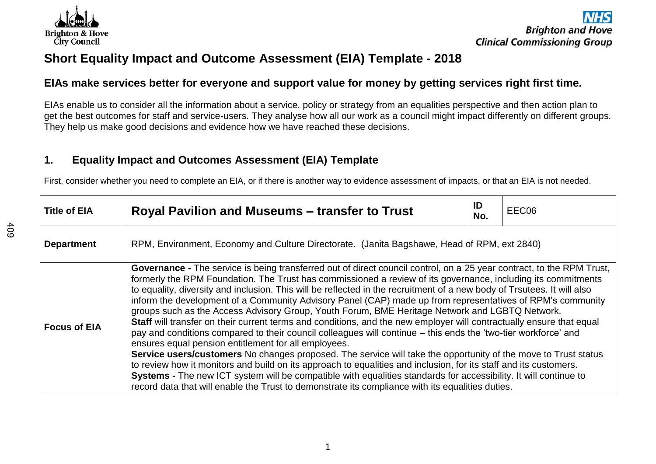

# **Short Equality Impact and Outcome Assessment (EIA) Template - 2018**

## **EIAs make services better for everyone and support value for money by getting services right first time.**

EIAs enable us to consider all the information about a service, policy or strategy from an equalities perspective and then action plan to get the best outcomes for staff and service-users. They analyse how all our work as a council might impact differently on different groups. They help us make good decisions and evidence how we have reached these decisions.

## **1. Equality Impact and Outcomes Assessment (EIA) Template**

First, consider whether you need to complete an EIA, or if there is another way to evidence assessment of impacts, or that an EIA is not needed.

| <b>Title of EIA</b> | Royal Pavilion and Museums – transfer to Trust                                                                                                                                                                                                                                                                                                                                                                                                                                                                                                                                                                                                                                                                                                                                                                                                                                                                                                                                                                                                                                                                                                                                                                                                                                                                                                            | ID<br>No. | EEC06 |  |
|---------------------|-----------------------------------------------------------------------------------------------------------------------------------------------------------------------------------------------------------------------------------------------------------------------------------------------------------------------------------------------------------------------------------------------------------------------------------------------------------------------------------------------------------------------------------------------------------------------------------------------------------------------------------------------------------------------------------------------------------------------------------------------------------------------------------------------------------------------------------------------------------------------------------------------------------------------------------------------------------------------------------------------------------------------------------------------------------------------------------------------------------------------------------------------------------------------------------------------------------------------------------------------------------------------------------------------------------------------------------------------------------|-----------|-------|--|
| <b>Department</b>   | RPM, Environment, Economy and Culture Directorate. (Janita Bagshawe, Head of RPM, ext 2840)                                                                                                                                                                                                                                                                                                                                                                                                                                                                                                                                                                                                                                                                                                                                                                                                                                                                                                                                                                                                                                                                                                                                                                                                                                                               |           |       |  |
| <b>Focus of EIA</b> | <b>Governance -</b> The service is being transferred out of direct council control, on a 25 year contract, to the RPM Trust,<br>formerly the RPM Foundation. The Trust has commissioned a review of its governance, including its commitments<br>to equality, diversity and inclusion. This will be reflected in the recruitment of a new body of Trsutees. It will also<br>inform the development of a Community Advisory Panel (CAP) made up from representatives of RPM's community<br>groups such as the Access Advisory Group, Youth Forum, BME Heritage Network and LGBTQ Network.<br>Staff will transfer on their current terms and conditions, and the new employer will contractually ensure that equal<br>pay and conditions compared to their council colleagues will continue – this ends the 'two-tier workforce' and<br>ensures equal pension entitlement for all employees.<br>Service users/customers No changes proposed. The service will take the opportunity of the move to Trust status<br>to review how it monitors and build on its approach to equalities and inclusion, for its staff and its customers.<br>Systems - The new ICT system will be compatible with equalities standards for accessibility. It will continue to<br>record data that will enable the Trust to demonstrate its compliance with its equalities duties. |           |       |  |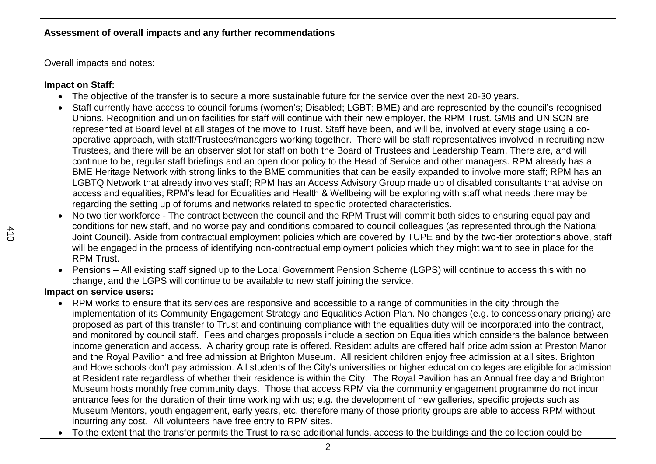Overall impacts and notes:

## **Impact on Staff:**

- The objective of the transfer is to secure a more sustainable future for the service over the next 20-30 years.
- Staff currently have access to council forums (women's; Disabled; LGBT; BME) and are represented by the council's recognised Unions. Recognition and union facilities for staff will continue with their new employer, the RPM Trust. GMB and UNISON are represented at Board level at all stages of the move to Trust. Staff have been, and will be, involved at every stage using a cooperative approach, with staff/Trustees/managers working together. There will be staff representatives involved in recruiting new Trustees, and there will be an observer slot for staff on both the Board of Trustees and Leadership Team. There are, and will continue to be, regular staff briefings and an open door policy to the Head of Service and other managers. RPM already has a BME Heritage Network with strong links to the BME communities that can be easily expanded to involve more staff; RPM has an LGBTQ Network that already involves staff; RPM has an Access Advisory Group made up of disabled consultants that advise on access and equalities; RPM's lead for Equalities and Health & Wellbeing will be exploring with staff what needs there may be regarding the setting up of forums and networks related to specific protected characteristics.
- No two tier workforce The contract between the council and the RPM Trust will commit both sides to ensuring equal pay and conditions for new staff, and no worse pay and conditions compared to council colleagues (as represented through the National Joint Council). Aside from contractual employment policies which are covered by TUPE and by the two-tier protections above, staff will be engaged in the process of identifying non-contractual employment policies which they might want to see in place for the RPM Trust.
- Pensions All existing staff signed up to the Local Government Pension Scheme (LGPS) will continue to access this with no change, and the LGPS will continue to be available to new staff joining the service.

## **Impact on service users:**

- RPM works to ensure that its services are responsive and accessible to a range of communities in the city through the implementation of its Community Engagement Strategy and Equalities Action Plan. No changes (e.g. to concessionary pricing) are proposed as part of this transfer to Trust and continuing compliance with the equalities duty will be incorporated into the contract, and monitored by council staff. Fees and charges proposals include a section on Equalities which considers the balance between income generation and access. A charity group rate is offered. Resident adults are offered half price admission at Preston Manor and the Royal Pavilion and free admission at Brighton Museum. All resident children enjoy free admission at all sites. Brighton and Hove schools don't pay admission. All students of the City's universities or higher education colleges are eligible for admission at Resident rate regardless of whether their residence is within the City. The Royal Pavilion has an Annual free day and Brighton Museum hosts monthly free community days. Those that access RPM via the community engagement programme do not incur entrance fees for the duration of their time working with us; e.g. the development of new galleries, specific projects such as Museum Mentors, youth engagement, early years, etc, therefore many of those priority groups are able to access RPM without incurring any cost. All volunteers have free entry to RPM sites.
- To the extent that the transfer permits the Trust to raise additional funds, access to the buildings and the collection could be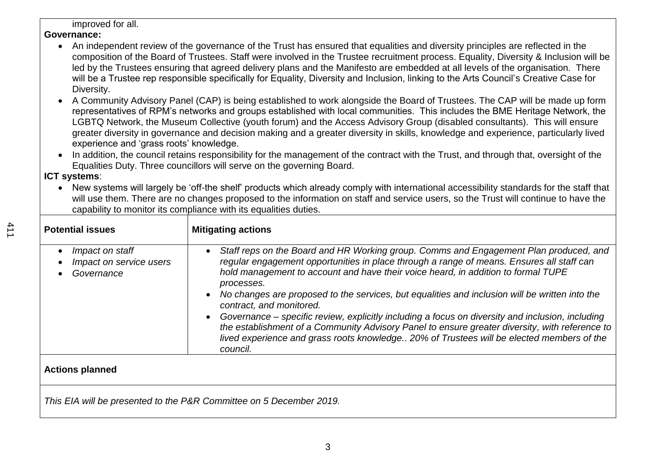#### improved for all.

#### **Governance:**

- An independent review of the governance of the Trust has ensured that equalities and diversity principles are reflected in the composition of the Board of Trustees. Staff were involved in the Trustee recruitment process. Equality, Diversity & Inclusion will be led by the Trustees ensuring that agreed delivery plans and the Manifesto are embedded at all levels of the organisation. There will be a Trustee rep responsible specifically for Equality, Diversity and Inclusion, linking to the Arts Council's Creative Case for Diversity.
- A Community Advisory Panel (CAP) is being established to work alongside the Board of Trustees. The CAP will be made up form representatives of RPM's networks and groups established with local communities. This includes the BME Heritage Network, the LGBTQ Network, the Museum Collective (youth forum) and the Access Advisory Group (disabled consultants). This will ensure greater diversity in governance and decision making and a greater diversity in skills, knowledge and experience, particularly lived experience and 'grass roots' knowledge.
- In addition, the council retains responsibility for the management of the contract with the Trust, and through that, oversight of the Equalities Duty. Three councillors will serve on the governing Board.

## **ICT systems**:

 New systems will largely be 'off-the shelf' products which already comply with international accessibility standards for the staff that will use them. There are no changes proposed to the information on staff and service users, so the Trust will continue to have the capability to monitor its compliance with its equalities duties.

| <b>Potential issues</b>                                               | <b>Mitigating actions</b>                                                                                                                                                                                                                                                                                                                                                                                                                                                                                                                                                                                                                                                                                                                                    |
|-----------------------------------------------------------------------|--------------------------------------------------------------------------------------------------------------------------------------------------------------------------------------------------------------------------------------------------------------------------------------------------------------------------------------------------------------------------------------------------------------------------------------------------------------------------------------------------------------------------------------------------------------------------------------------------------------------------------------------------------------------------------------------------------------------------------------------------------------|
| Impact on staff<br>$\bullet$<br>Impact on service users<br>Governance | Staff reps on the Board and HR Working group. Comms and Engagement Plan produced, and<br>regular engagement opportunities in place through a range of means. Ensures all staff can<br>hold management to account and have their voice heard, in addition to formal TUPE<br>processes.<br>No changes are proposed to the services, but equalities and inclusion will be written into the<br>$\bullet$<br>contract, and monitored.<br>Governance – specific review, explicitly including a focus on diversity and inclusion, including<br>$\bullet$<br>the establishment of a Community Advisory Panel to ensure greater diversity, with reference to<br>lived experience and grass roots knowledge 20% of Trustees will be elected members of the<br>council. |
| <b>Actions planned</b>                                                |                                                                                                                                                                                                                                                                                                                                                                                                                                                                                                                                                                                                                                                                                                                                                              |
|                                                                       | This EIA will be presented to the P&R Committee on 5 December 2019.                                                                                                                                                                                                                                                                                                                                                                                                                                                                                                                                                                                                                                                                                          |